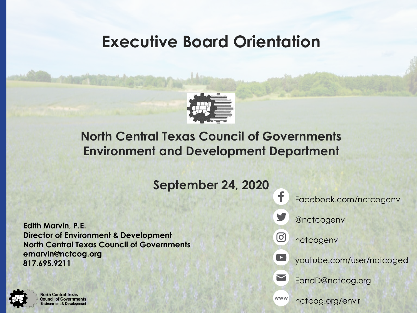# **Executive Board Orientation**



## **North Central Texas Council of Governments Environment and Development Department**

**September 24, 2020**

**Edith Marvin, P.E. Director of Environment & Development North Central Texas Council of Governments emarvin@nctcog.org 817.695.9211**



**North Central Texas Council of Governments Environment & Development**  Facebook.com/nctcogenv



@nctcogenv

nctcogenv



 $\geq$ 

 $\circledcirc$ 

f

youtube.com/user/nctcoged

EandD@nctcog.org

www

nctcog.org/envir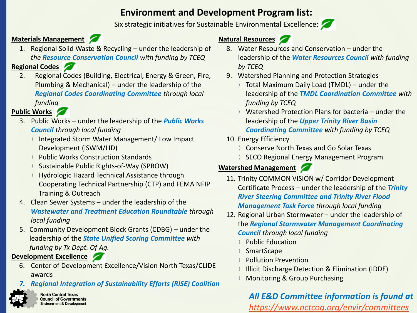### **Environment and Development Program list:**

Six strategic initiatives for Sustainable Environmental Excellence:



#### **Materials Management**

1. Regional Solid Waste & Recycling – under the leadership of *the Resource Conservation Council with funding by TCEQ*

#### **Regional Codes**

2. Regional Codes (Building, Electrical, Energy & Green, Fire, Plumbing & Mechanical) – under the leadership of the *Regional Codes Coordinating Committee through local funding* 

#### **Public Works**

- 3. Public Works under the leadership of the *Public Works Council through local funding* 
	- Integrated Storm Water Management/ Low Impact Development (iSWM/LID)
	- Public Works Construction Standards
	- Sustainable Public Rights-of-Way (SPROW)
	- Hydrologic Hazard Technical Assistance through Cooperating Technical Partnership (CTP) and FEMA NFIP Training & Outreach
- 4. Clean Sewer Systems under the leadership of the *Wastewater and Treatment Education Roundtable through local funding*
- 5. Community Development Block Grants (CDBG) under the leadership of the *State Unified Scoring Committee with funding by Tx Dept. Of Ag.*

#### **Development Excellence**

- 6. Center of Development Excellence/Vision North Texas/CLIDE awards
- *7. Regional Integration of Sustainability Efforts (RISE) Coalition*



**North Central Texas Council of Governments Environment & Development** 

#### **Natural Resources**

- 8. Water Resources and Conservation under the leadership of the *Water Resources Council with funding by TCEQ*
- 9. Watershed Planning and Protection Strategies
	- Total Maximum Daily Load (TMDL) under the leadership of the *TMDL Coordination Committee with funding by TCEQ*
	- Watershed Protection Plans for bacteria under the leadership of the *Upper Trinity River Basin Coordinating Committee with funding by TCEQ*
- 10. Energy Efficiency
	- Conserve North Texas and Go Solar Texas
	- SECO Regional Energy Management Program

#### **Watershed Management**

- 11. Trinity COMMON VISION w/ Corridor Development Certificate Process – under the leadership of the *Trinity River Steering Committee and Trinity River Flood Management Task Force through local funding*
- 12. Regional Urban Stormwater under the leadership of the *Regional Stormwater Management Coordinating Council through local funding* 
	- Public Education
	- **SmartScape**
	- Pollution Prevention
	- Illicit Discharge Detection & Elimination (IDDE)
	- Monitoring & Group Purchasing

#### *All E&D Committee information is found at [https://www.nctcog.org/envir/committees](https://www.nctcog.org/envir/events)*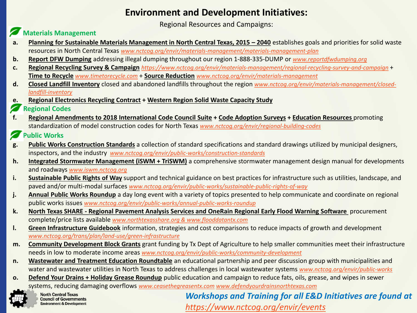#### **Environment and Development Initiatives:**

Regional Resources and Campaigns:

#### **Materials Management**

- **a. Planning for Sustainable Materials Management in North Central Texas, 2015 – 2040** establishes goals and priorities for solid waste resources in North Central Texas *[www.nctcog.org/envir/materials-management/materials-management-plan](https://www.nctcog.org/envir/materials-management/materials-management-plan)*
- **b. Report DFW Dumping** addressing illegal dumping throughout our region 1-888-335-DUMP or *[www.reportdfwdumping.org](http://www.reportdfwdumping.org/)*
- **c. Regional Recycling Survey & Campaign** *<https://www.nctcog.org/envir/materials-management/regional-recycling-survey-and-campaign>* + **Time to Recycle** *[www.timetorecycle.com](http://www.timetorecycle.com/)* + **Source Reduction** *[www.nctcog.org/envir/materials-management](http://www.nctcog.org/envir/materials-management.com)*
- **d. Closed Landfill Inventory** [closed and abandoned landfills throughout the region](http://www.nctcog.org/envir/materials-management/closed-landfill-inventory) *www.nctcog.org/envir/materials-management/closedlandfill-inventory*
- **e. Regional Electronics Recycling Contract + Western Region Solid Waste Capacity Study**
- **Regional Codes**
- **f. Regional Amendments to 2018 International Code Council Suite + Code Adoption Surveys + Education Resources** promoting standardization of model construction codes for North Texas *[www.nctcog.org/envir/regional-building-codes](http://www.nctcog.org/envir/regional-building-codes)*

#### **Public Works**

- **g. Public Works Construction Standards** a collection of standard specifications and standard drawings utilized by municipal designers, inspectors, and the industry *[www.nctcog.org/envir/public-works/construction-standards](http://www.nctcog.org/envir/public-works/construction-standards)*
- **h. Integrated Stormwater Management (iSWM + TriSWM)** a comprehensive stormwater management design manual for developments and roadways *[www.iswm.nctcog.org](http://www.iswm.nctcog.org/)*
- **i. Sustainable Public Rights of Way** support and technical guidance on best practices for infrastructure such as utilities, landscape, and paved and/or multi-modal surfaces *[www.nctcog.org/envir/public-works/sustainable-public-rights-of-way](http://www.nctcog.org/envir/public-works/sustainable-public-rights-of-way)*
- j. Annual Public Works Roundup a day long event with a variety of topics presented to help communicate and coordinate on regional public works issues *[www.nctcog.org/envir/public-works/annual-public-works-roundup](https://www.nctcog.org/envir/public-works/annual-public-works-roundup)*
- **k. North Texas SHARE - Regional Pavement Analysis Services and OneRain Regional Early Flood Warning Software** procurement complete/price lists available *[www.northtexasshare.org & www.flooddatantx.com](http://www.northtexasshare.org/)*
- **l. Green Infrastructure Guidebook** information, strategies and cost comparisons to reduce impacts of growth and development *[www.nctcog.org/trans/plan/land-use/green-infrastructure](https://www.nctcog.org/trans/plan/land-use/green-infrastructure)*
- **m. Community Development Block Grants** grant funding by Tx Dept of Agriculture to help smaller communities meet their infrastructure needs in low to moderate income areas *[www.nctcog.org/envir/public-works/community-development](http://www.nctcog.org/envir/public-works/community-development)*
- **n. Wastewater and Treatment Education Roundtable** an educational partnership and peer discussion group with municipalities and water and wastewater utilities in North Texas to address challenges in local wastewater systems *[www.nctcog.org/envir/public-works](http://www.nctcog.org/envir/public-works)*
- **o. Defend Your Drains + Holiday Grease Roundup** public education and campaign to reduce fats, oils, grease, and wipes in sewer systems, reducing damaging overflows *[www.ceasethegreasentx.com](http://www.ceasethegreasentx.com/) [www.defendyourdrainsnorthtexas.com](http://www.defendyourdrainsnorthtexas.com/)*



**North Central Texas Council of Governments Environment & Development** 

*Workshops and Training for all E&D Initiatives are found at <https://www.nctcog.org/envir/events>*